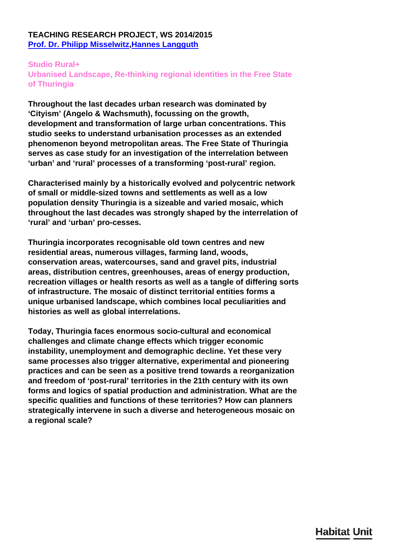### **TEACHING RESEARCH PROJECT, WS 2014/2015 [Prof. Dr. Philipp Misselwitz](/en/team/philipp-misselwitz/)[,Hannes Langguth](/en/team/hannes-langguth/)**

#### **Studio Rural+ Urbanised Landscape, Re-thinking regional identities in the Free State of Thuringia**

**Throughout the last decades urban research was dominated by 'Cityism' (Angelo & Wachsmuth), focussing on the growth, development and transformation of large urban concentrations. This studio seeks to understand urbanisation processes as an extended phenomenon beyond metropolitan areas. The Free State of Thuringia serves as case study for an investigation of the interrelation between 'urban' and 'rural' processes of a transforming 'post-rural' region.**

**Characterised mainly by a historically evolved and polycentric network of small or middle-sized towns and settlements as well as a low population density Thuringia is a sizeable and varied mosaic, which throughout the last decades was strongly shaped by the interrelation of 'rural' and 'urban' pro-cesses.**

**Thuringia incorporates recognisable old town centres and new residential areas, numerous villages, farming land, woods, conservation areas, watercourses, sand and gravel pits, industrial areas, distribution centres, greenhouses, areas of energy production, recreation villages or health resorts as well as a tangle of differing sorts of infrastructure. The mosaic of distinct territorial entities forms a unique urbanised landscape, which combines local peculiarities and histories as well as global interrelations.**

**Today, Thuringia faces enormous socio-cultural and economical challenges and climate change effects which trigger economic instability, unemployment and demographic decline. Yet these very same processes also trigger alternative, experimental and pioneering practices and can be seen as a positive trend towards a reorganization and freedom of 'post-rural' territories in the 21th century with its own forms and logics of spatial production and administration. What are the specific qualities and functions of these territories? How can planners strategically intervene in such a diverse and heterogeneous mosaic on a regional scale?**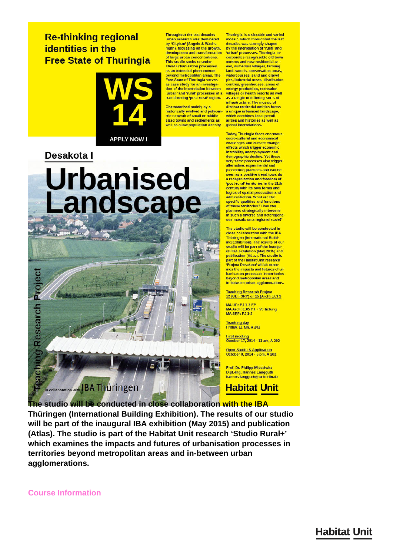## **Re-thinking regional identities in the Free State of Thuringia**



**APPLY NOW!** 

## Desakota I

# **Urbanised** Landscape



**Throughout the last decades** Thuringia is a sizeable and varied mosaic, which throughout the last urban research was dominated by 'Cityism' (Angelo & Wachs-<br>muth), focussing on the growth, decades was strongly shaped<br>by the interrelation of 'rural' and 'urban' processes. Thuringia indevelopment and transformation of large urban concentrations. corporates recognisable old town centres and new residential ar-This studio seeks to understand urbanisation processes eas, numerous villages, farming as an extended phenomenon land, woods, conservation areas, watercourses, sand and gravel beyond metropolitan areas. The<br>Free State of Thuringia serves pits, industrial areas, distribution centres, greenhouses, areas of<br>energy production, recreation as case study for an investigation of the interrelation between villages or health resorts as well 'urban' and 'rural' processes of a as a tangle of differing sorts of<br>infrastructure. The mosaic of transforming 'post-rural' region. Characterised mainly by a distinct territorial entities forms historically evolved and polycen a unique urbanised landscape, tric network of small or middlewhich combines local neculisized towns and settlements as

well as a low population density

**Today, Thuringia faces enormous** socio-cultural and economical<br>challenges and climate change effects which trigger economic<br>instability, unemployment and demographic decline. Yet these<br>very same processes also trigger alternative, experimental and<br>pioneering practices and can be<br>seen as a positive trend towards a reorganization and freedom of<br>'post-rural' territories in the 21th century with its own forms and<br>logics of spatial production and administration. What are the specific qualities and functions<br>of these territories? How can planners strategically intervene<br>in such a diverse and heterogene ous mosaic on a regional scale?

arities and histories as well as

global interrelations.

The studio will be conducted in close collaboration with the IBA **Thüringen (International Build**ing Exhibition). The results of our<br>studio will be part of the inaugural IBA exhibition (May 2015) and<br>publication (Atlas). The studio is part of the Habitat Unit research 'Project Desakota' which exam ines the impacts and futures of urbanisation processes in territories beyond metropolitan areas and in-between urban agglomerations

Teaching Research Project<br>12 (UD / SRP) or 15 (Arch) ECTS

MA UD: PJ 1-3 EP<br>MA Arch: E.05 PJ + Vertiefung<br>MA SRP: PJ 1-3

Teaching day<br>Friday, 11 am, A 202

First meeting<br>October 17, 2014 - 11 am, A 202

Open Studio & Application<br>October 8, 2014 - 5 pm, A 202

**Prof. Dr. Philipp Misselwitz** Dipl.-Ing. Hannes Langguth hannes.langguth@tu-berlin.de

**Habitat Unit** 

The studio will be conducted in close collaboration with the IBA Thüringen (International Building Exhibition). The results of our studio will be part of the inaugural IBA exhibition (May 2015) and publication (Atlas). The studio is part of the Habitat Unit research 'Studio Rural+' which examines the impacts and futures of urbanisation processes in territories beyond metropolitan areas and in-between urban agglomerations.

**Course Information** 

# **Habitat Unit**